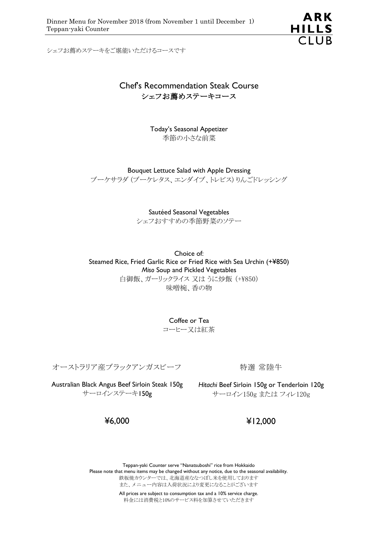ARK HILLS<br>CLUB

シェフお薦めステーキをご堪能いただけるコースです

### Chef's Recommendation Steak Course シェフお薦めステーキコース

Today's Seasonal Appetizer 季節の小さな前菜

Bouquet Lettuce Salad with Apple Dressing ブーケサラダ (ブーケレタス、エンダイブ、トレビス) りんごドレッシング

> Sautéed Seasonal Vegetables シェフおすすめの季節野菜のソテー

Choice of: Steamed Rice, Fried Garlic Rice or Fried Rice with Sea Urchin (+¥850) *Miso* Soup and Pickled Vegetables 白御飯、ガーリックライス 又は うに炒飯 (+¥850) 味噌椀、香の物

> Coffee or Tea コーヒー又は紅茶

オーストラリア産ブラックアンガスビーフ

Australian Black Angus Beef Sirloin Steak 150g *Hitachi* Beef Sirloin 150g or Tenderloin 120g サーロインステーキ150g

特選 常陸牛

サーロイン150g または フィレ120g

¥6,000

¥12,000

Teppan-yaki Counter serve "Nanatsuboshi" rice from Hokkaido Please note that menu items may be changed without any notice, due to the seasonal availability. 鉄板焼カウンターでは、北海道産ななつぼし米を使用しております また、メニュー内容は入荷状況により変更になることがございます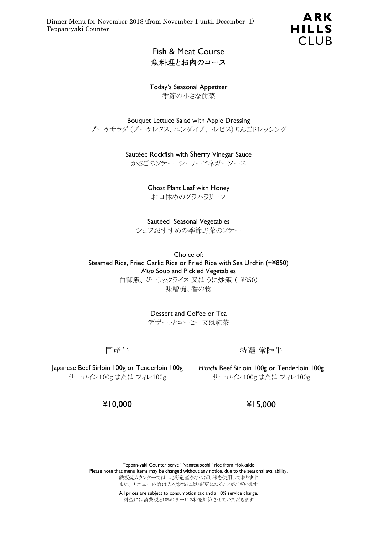

Fish & Meat Course 魚料理とお肉のコース

Today's Seasonal Appetizer 季節の小さな前菜

Bouquet Lettuce Salad with Apple Dressing ブーケサラダ (ブーケレタス、エンダイブ、トレビス) りんごドレッシング

Sautéed Rockfish with Sherry Vinegar Sauce

かさごのソテー シェリービネガーソース

Ghost Plant Leaf with Honey お口休めのグラパラリーフ

Sautéed Seasonal Vegetables シェフおすすめの季節野菜のソテー

Choice of: Steamed Rice, Fried Garlic Rice or Fried Rice with Sea Urchin (+¥850) *Miso* Soup and Pickled Vegetables 白御飯、ガーリックライス 又は うに炒飯 (+¥850) 味噌椀、香の物

> Dessert and Coffee or Tea デザートとコーヒー又は紅茶

国産牛

特選 常陸牛

Japanese Beef Sirloin 100g or Tenderloin 100g *Hitachi* Beef Sirloin 100g or Tenderloin 100g サーロイン100g または フィレ100g

サーロイン100g または フィレ100g

¥10,000

¥15,000

Teppan-yaki Counter serve "Nanatsuboshi" rice from Hokkaido Please note that menu items may be changed without any notice, due to the seasonal availability. 鉄板焼カウンターでは、北海道産ななつぼし米を使用しております また、メニュー内容は入荷状況により変更になることがございます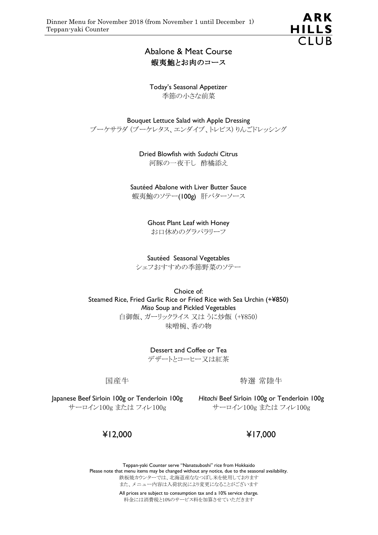

## Abalone & Meat Course 蝦夷鮑とお肉のコース

Today's Seasonal Appetizer 季節の小さな前菜

Bouquet Lettuce Salad with Apple Dressing ブーケサラダ (ブーケレタス、エンダイブ、トレビス) りんごドレッシング

> Dried Blowfish with *Sudachi* Citrus 河豚の一夜干し 酢橘添え

Sautéed Abalone with Liver Butter Sauce

蝦夷鮑のソテー(100g) 肝バターソース

Ghost Plant Leaf with Honey お口休めのグラパラリーフ

Sautéed Seasonal Vegetables シェフおすすめの季節野菜のソテー

Choice of: Steamed Rice, Fried Garlic Rice or Fried Rice with Sea Urchin (+¥850) *Miso* Soup and Pickled Vegetables 白御飯、ガーリックライス 又は うに炒飯 (+¥850) 味噌椀、香の物

> Dessert and Coffee or Tea デザートとコーヒー又は紅茶

国産牛

特選 常陸牛

Japanese Beef Sirloin 100g or Tenderloin 100g *Hitachi* Beef Sirloin 100g or Tenderloin 100g サーロイン100g または フィレ100g

サーロイン100g または フィレ100g

¥12,000

¥17,000

Teppan-yaki Counter serve "Nanatsuboshi" rice from Hokkaido Please note that menu items may be changed without any notice, due to the seasonal availability. 鉄板焼カウンターでは、北海道産ななつぼし米を使用しております また、メニュー内容は入荷状況により変更になることがございます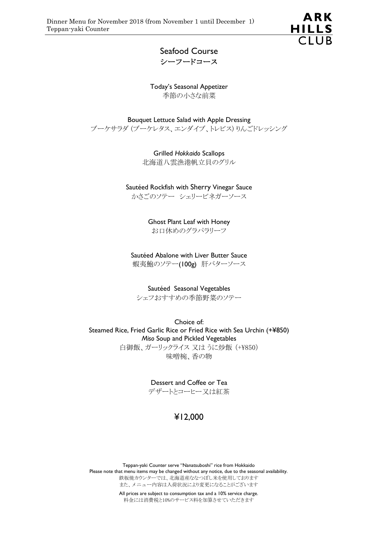

### Seafood Course シーフードコース

Today's Seasonal Appetizer 季節の小さな前菜

Bouquet Lettuce Salad with Apple Dressing ブーケサラダ (ブーケレタス、エンダイブ、トレビス) りんごドレッシング

> Grilled *Hokkaido* Scallops 北海道八雲漁港帆立貝のグリル

Sautéed Rockfish with Sherry Vinegar Sauce

かさごのソテー シェリービネガーソース

Ghost Plant Leaf with Honey お口休めのグラパラリーフ

Sautéed Abalone with Liver Butter Sauce 蝦夷鮑のソテー(100g) 肝バターソース

Sautéed Seasonal Vegetables シェフおすすめの季節野菜のソテー

Choice of: Steamed Rice, Fried Garlic Rice or Fried Rice with Sea Urchin (+¥850) *Miso* Soup and Pickled Vegetables 白御飯、ガーリックライス 又は うに炒飯 (+¥850) 味噌椀、香の物

> Dessert and Coffee or Tea デザートとコーヒー又は紅茶

# ¥12,000

Teppan-yaki Counter serve "Nanatsuboshi" rice from Hokkaido Please note that menu items may be changed without any notice, due to the seasonal availability. 鉄板焼カウンターでは、北海道産ななつぼし米を使用しております また、メニュー内容は入荷状況により変更になることがございます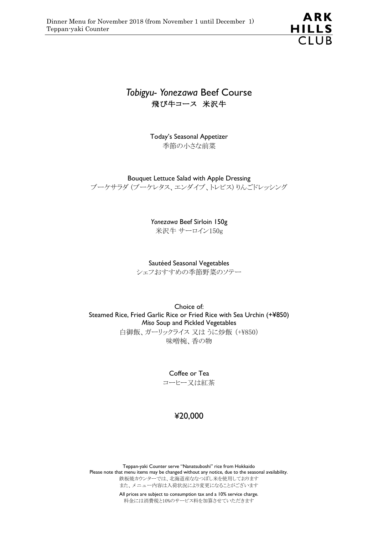

# *Tobigyu- Yonezawa* Beef Course 飛び牛コース 米沢牛

Today's Seasonal Appetizer 季節の小さな前菜

Bouquet Lettuce Salad with Apple Dressing

ブーケサラダ (ブーケレタス、エンダイブ、トレビス) りんごドレッシング

*Yonezawa* Beef Sirloin 150g

米沢牛 サーロイン150g

Sautéed Seasonal Vegetables

シェフおすすめの季節野菜のソテー

Choice of: Steamed Rice, Fried Garlic Rice or Fried Rice with Sea Urchin (+¥850) *Miso* Soup and Pickled Vegetables 白御飯、ガーリックライス 又は うに炒飯 (+¥850) 味噌椀、香の物

> Coffee or Tea コーヒー又は紅茶

## ¥20,000

Teppan-yaki Counter serve "Nanatsuboshi" rice from Hokkaido Please note that menu items may be changed without any notice, due to the seasonal availability. 鉄板焼カウンターでは、北海道産ななつぼし米を使用しております また、メニュー内容は入荷状況により変更になることがございます